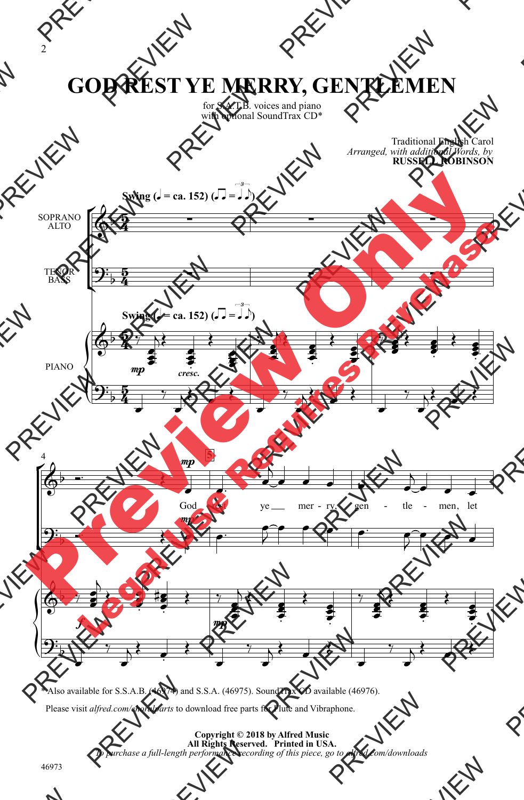## **GOD REST YE MERRY, GENTLEMEN**

for S.A.T.B. voices and piano with optional SoundTrax CD\*

Traditional English Carol

*Arranged, with additional Words, by*

 $\left\{\begin{matrix} 1 \\ 1 \\ 2 \end{matrix}\right\}$  $\mathsf{K}$ Ľ  $\left\{\begin{matrix} 1 \\ 0 \\ 0 \end{matrix}\right\}$ ŕ Ļ **RUSSELL ROBINSON Swing (** $\sqrt{ }$  = ca. 152) ( $\sqrt{ }$  = *e*  $\sqrt{ }$ ) **Swing (** $\sqrt{=}$  **ca. 152) (** $\sqrt{}$  $\tilde{ }$ SOPRANO ALTO **TENOR** BASS PIANO 4 **5** 5  $\frac{5}{4}$ 5  $\frac{5}{4}$ 5  $\frac{5}{4}$ 5  $\frac{5}{4}$  $\left(\frac{1}{2}, \frac{5}{4}\right)$  $9:5$  and  $1:2:3$  $\overline{\mathbb{Q}^{\flat}}$  $\mathfrak{P}_{\flat}$ mp *cresc.*  $\overline{\mathbb{Q}^{\flat}}$ God mp ye <u>e</u> mer - ry, gen - tle - men, let  $\mathbf{\mathcal{P}}$ mp  $\ddot{\Phi}$  $\mathbf{\mathcal{\hat{y}}^{\mathbf{:}}}_{\mathbf{\flat}}$ f mp  $\overline{y}$  $\ddot{\bm{s}}$  $\frac{2}{3}$  $\overline{\bullet}$  $\overline{\mathcal{X}}$ Ş  $\frac{1}{2}$  $\overline{\bullet}$  $\ddot{\phantom{a}}$  $\frac{1}{2}$  $\ddot{\bullet}$  $\overset{\bullet}{\bm{s}}$  $\frac{1}{2}$  $\ddot{\cdot}$  $\overline{y}$ É  $\frac{1}{2}$  $\frac{1}{2}$ **M** Į **Se**  $\overline{\bullet}$  $\ddot{\phantom{a}}$  $\overline{\bullet}$ Į  $\frac{1}{2}$  $\overline{\bullet}$ i H  $\overline{\mathbf{S}}$  $\overline{\bullet}$ Ì  $\frac{2}{5}$ Ş  $\overline{\bullet}$   $\overline{\bullet}$  $\overline{\bullet}$ ĺ  $\frac{4}{1}$  $\overline{\bullet}$  Ź  $\begin{smallmatrix} \bullet & \bullet & \bullet & \bullet \ \bullet & \bullet & \bullet \end{smallmatrix}$  $\overline{\phantom{0}}$  $\rightarrow$ <u> De Station de la propriété de la propriété de la propriété de la propriété de la propriété de la propriété d</u>  $\overline{\mathbf{A}}$  $\overrightarrow{a}$   $\overrightarrow{a}$   $\overrightarrow{a}$   $\overrightarrow{a}$  $\overline{1}$  $\overrightarrow{ }$  $\frac{1}{2}$  $\begin{array}{c} \circ \\ \circ \\ \circ \end{array}$  $\int$   $\int$   $\int$   $\int$  $\frac{1}{2}$  $\bullet$  $\frac{1}{2}$  $\overline{a}$ 52  $\frac{1}{2}$  $\frac{1}{2}$  $\bullet$  $\overrightarrow{\bullet}$ i  $\frac{1}{2}$   $\frac{1}{2}$   $\frac{1}{2}$  $\frac{2}{3}$ i eo  $\overline{\bullet}$  $\frac{1}{2}$ Į  $\bullet$  $\overline{\bullet}$ Ī  $\frac{1}{\epsilon}$  $\frac{1}{\epsilon}$  $\bullet$  $\overline{\bullet}$  $\ddot{\phantom{a}}$  $\overline{y}$ Į  $\bullet$  $\overline{\bullet}$  $\overrightarrow{y}$ Į  $\bullet$  $\overline{\bullet}$  $\overline{\phantom{a}}$  $\overline{\mathbf{r}}$  $\frac{1}{\epsilon}$  $\bullet$  $\overline{\bullet}$ Ī  $\frac{1}{\sqrt{1-\frac{1}{2}}\sqrt{1-\frac{1}{2}}\sqrt{1-\frac{1}{2}}\sqrt{1-\frac{1}{2}}\sqrt{1-\frac{1}{2}}\sqrt{1-\frac{1}{2}}\sqrt{1-\frac{1}{2}}\sqrt{1-\frac{1}{2}}\sqrt{1-\frac{1}{2}}\sqrt{1-\frac{1}{2}}\sqrt{1-\frac{1}{2}}\sqrt{1-\frac{1}{2}}\sqrt{1-\frac{1}{2}}\sqrt{1-\frac{1}{2}}\sqrt{1-\frac{1}{2}}\sqrt{1-\frac{1}{2}}\sqrt{1-\frac{1}{2}}\sqrt{1-\frac{1}{2}}\sqrt{1-\frac{1}{2}}\sqrt{1-\frac$  $\overline{\phantom{0}}$   $\overline{\phantom{0}}$   $\overline{\phantom{0}}$  $\left\{ \begin{array}{ccc} 1 & 1 \\ 1 & 1 \end{array} \right.$ **COD REST YE MERRY, GEN**<br>
For SATE voices and piano<br>
with optional Sound Trax CD-<br>
SURANG String  $(i - \text{ca. 152})$   $(i) - 1$ )<br>
SURANG SURANG PREVIEW PREVIEW PREVIEW PREVIEW PREVIEW PREVIEW PREVIEW PREVIEW PREVIEW PREVIEW PREVI COD REST YE MERRY, GENTLEM<br>
SURVEY PREVIEW PREVIEW PREVIEW PREVIEW PREVIEW PREVIEW PREVIEW PREVIEW PREVIEW PREVIEW PREVIEW PREVIEW PREVIEW PREVIEW PREVIEW PREVIEW PREVIEW PREVIEW PREVIEW PREVIEW PREVIEW PREVIEW PREVIEW PR COD REST YE MERRY, GENTLEMEN COD REST YE MERRY, GENTLEMEN COD REST YE MERRY, GENTLEMEN COD REST YE MERRY, GENTLEMEN PREVIEW PREVIEW PREVIEW PREVIEW PREVIEW PREVIEW PREVIEW PREVIEW PREVIEW PREVIEW PREVIEW PREVIEW PREVIEW PREVIEW PREVIEW PREVIEW PREVIEW PREVIEW PREVIEW PREVIEW PREVIEW PREVIEW PREVIEW PREVIEW PREVIEW PREVIEW PREVIEW PREVIEW PREVIEW PREVIEW PREVIEW PREVIEW PREVIEW PREVIEW PREVI PREVIEW PREVIEW PREVIEW PREVIEW PREVIEW PREVIEW PREVIEW PREVIEW PREVIEW PREVIEW PREVIEW PREVIEW PREVIEW PREVIEW PREVIEW PREVIEW PREVIEW PREVIEW PREVIEW PREVIEW PREVIEW PREVIEW PREVIEW PREVIEW PREVIEW PREVIEW PREVIEW PREVI PREVIEW PREVIEW PREVIEW PREVIEW PREVIEW PREVIEW PREVIEW PREVIEW PREVIEW PREVIEW PREVIEW PREVIEW PREVIEW PREVIEW PREVIEW PREVIEW PREVIEW PREVIEW PREVIEW PREVIEW PREVIEW PREVIEW PREVIEW PREVIEW PREVIEW PREVIEW PREVIEW PREVI PREVIEW PREVIEW PREVIEW PREVIEW PREVIEW PREVIEW PREVIEW PREVIEW PREVIEW PREVIEW PREVIEW PREVIEW PREVIEW PREVIEW PREVIEW PREVIEW PREVIEW PREVIEW PREVIEW PREVIEW PREVIEW PREVIEW PREVIEW PREVIEW PREVIEW PREVIEW PREVIEW PREVI Preview Concerns of the Concerns of the Concerns of the Concerns of the Concerns of the Concerns of the Concerns of the Concerns of the Concerns of the Concerns of the Concerns of the Concerns of the Concerns of the Concer Legal Use Requires Purchase

\* Also available for S.S.A.B. (46974) and S.S.A. (46975). SoundTrax CD available (46976).

Please visit *alfred.com/choralparts* to download free parts for Flute and Vibraphone.

**Copyright © 2018 by Alfred Music All Rights Reserved. Printed in USA.** *To purchase a full-length performance recording of this piece, go to alfred.com/downloads*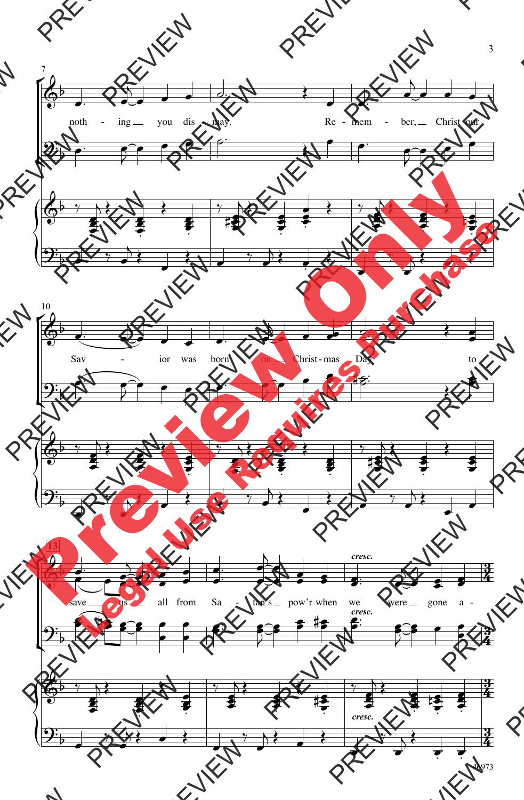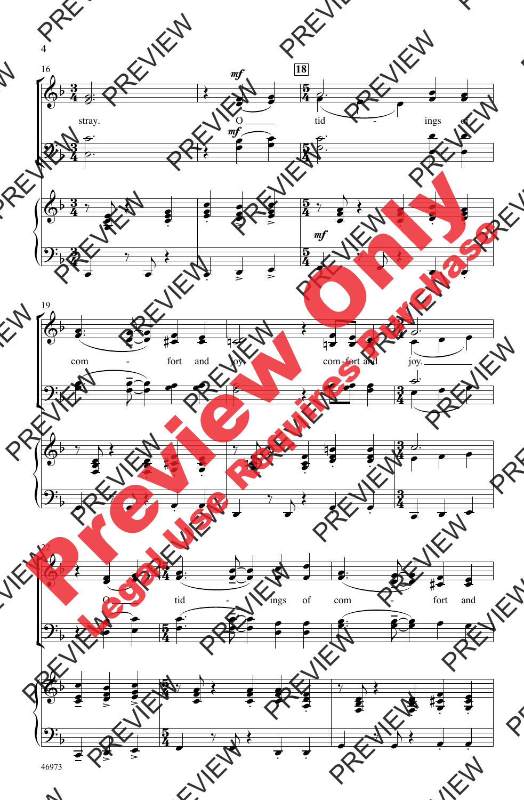

46973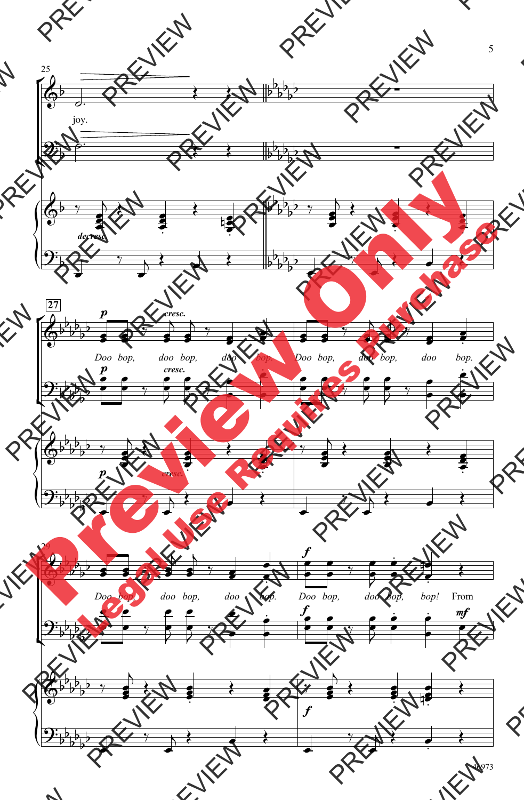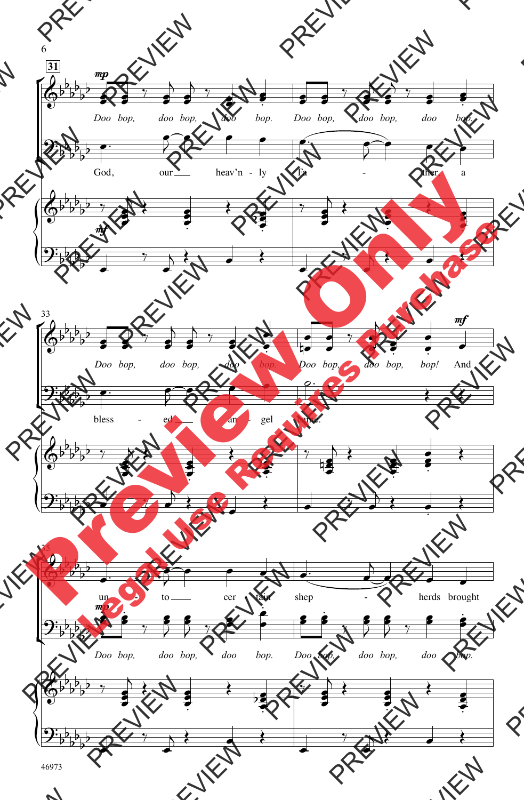

<sup>46973</sup>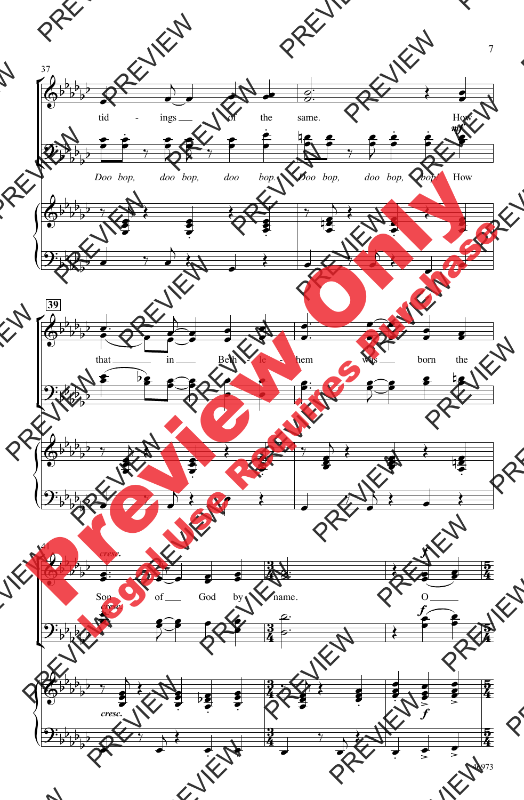

<sup>46973</sup>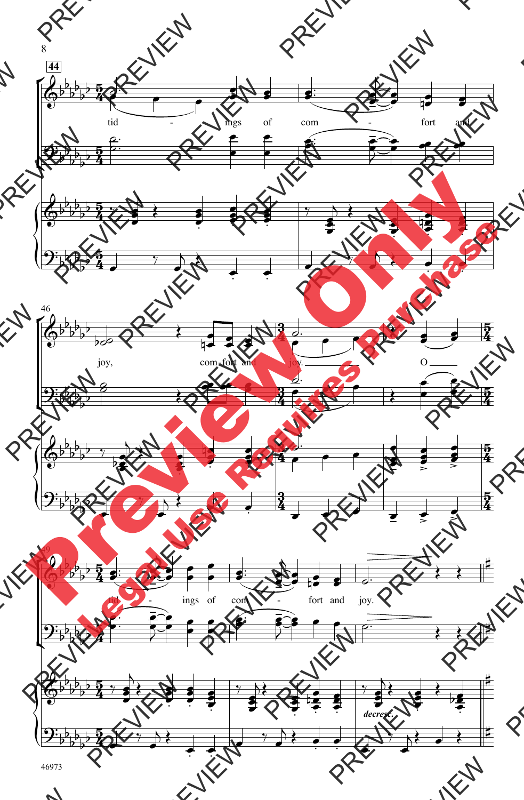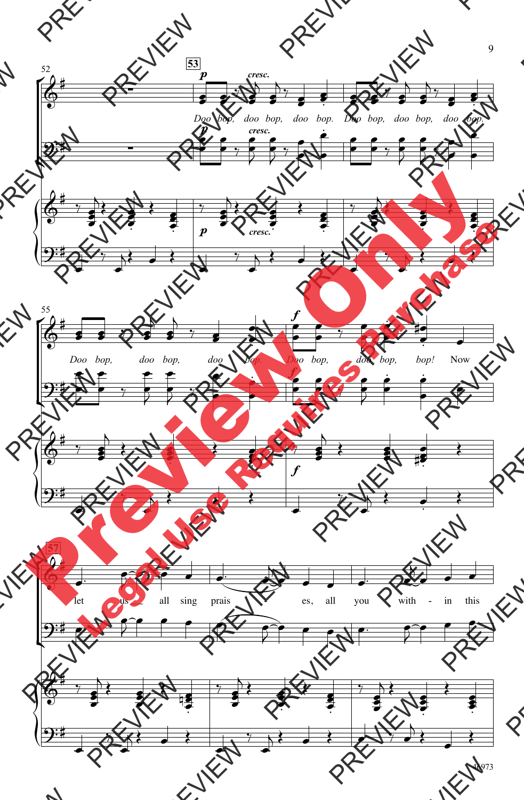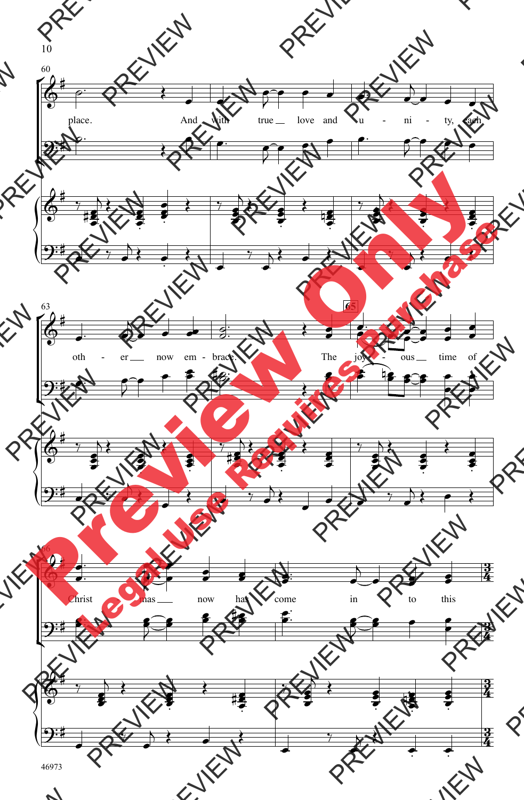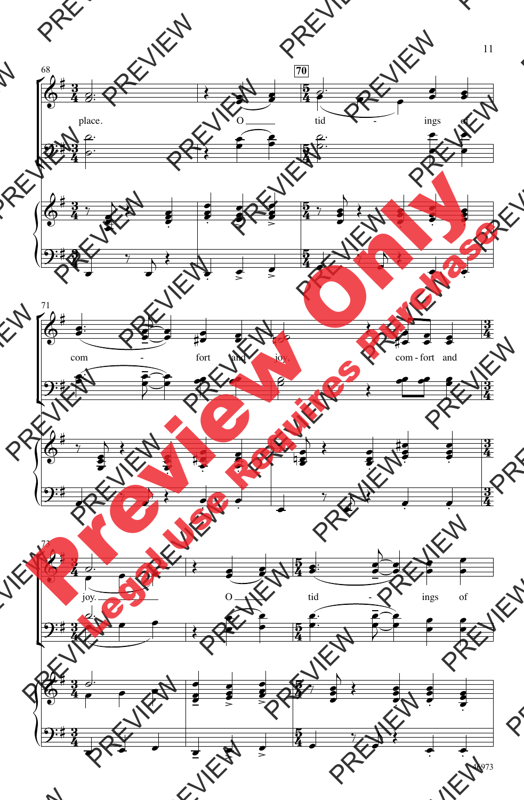

46973